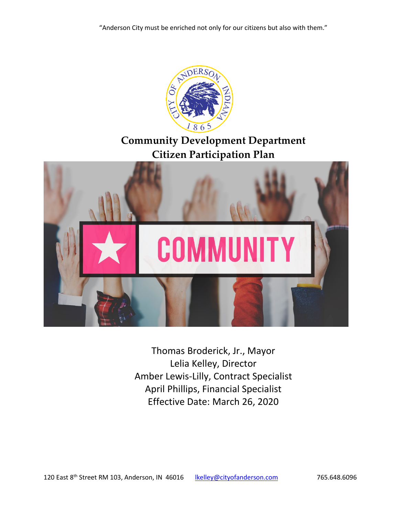

Thomas Broderick, Jr., Mayor Lelia Kelley, Director Amber Lewis-Lilly, Contract Specialist April Phillips, Financial Specialist Effective Date: March 26, 2020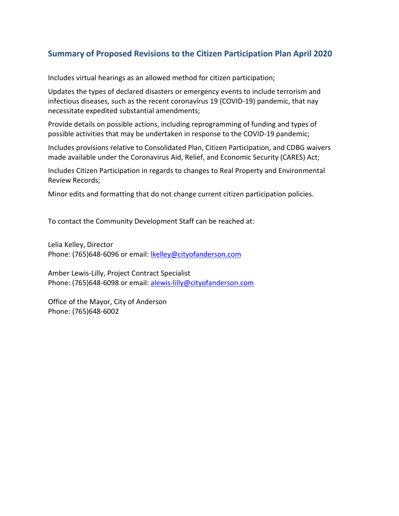# **Summary of Proposed Revisions to the Citizen Participation Plan April 2020**

Includes virtual hearings as an allowed method for citizen participation;

Updates the types of declared disasters or emergency events to include terrorism and infectious diseases, such as the recent coronavirus 19 (COVID-19) pandemic, that nay necessitate expedited substantial amendments;

Provide details on possible actions, including reprogramming of funding and types of possible activities that may be undertaken in response to the COVID-19 pandemic;

Includes provisions relative to Consolidated Plan, Citizen Participation, and CDBG waivers made available under the Coronavirus Aid, Relief, and Economic Security (CARES) Act;

Includes Citizen Participation in regards to changes to Real Property and Environmental Review Records;

Minor edits and formatting that do not change current citizen participation policies.

To contact the Community Development Staff can be reached at:

Lelia Kelley, Director Phone: (765)648-6096 or email: [lkelley@cityofanderson.com](mailto:lkelley@cityofanderson.com)

Amber Lewis-Lilly, Project Contract Specialist Phone: (765)648-6098 or email: [alewis-lilly@cityofanderson.com](mailto:alewis-lilly@cityofanderson.com)

Office of the Mayor, City of Anderson Phone: (765)648-6002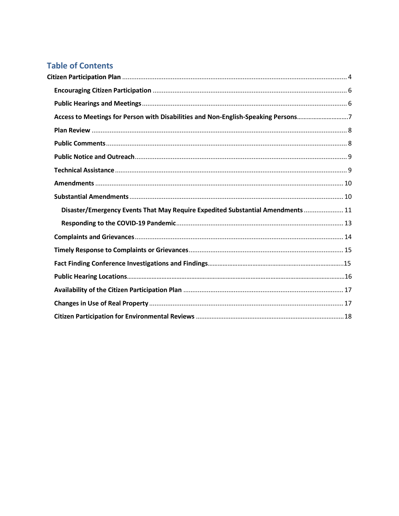# **Table of Contents**

| Access to Meetings for Person with Disabilities and Non-English-Speaking Persons7 |  |
|-----------------------------------------------------------------------------------|--|
|                                                                                   |  |
|                                                                                   |  |
|                                                                                   |  |
|                                                                                   |  |
|                                                                                   |  |
|                                                                                   |  |
| Disaster/Emergency Events That May Require Expedited Substantial Amendments  11   |  |
|                                                                                   |  |
|                                                                                   |  |
|                                                                                   |  |
|                                                                                   |  |
|                                                                                   |  |
|                                                                                   |  |
|                                                                                   |  |
|                                                                                   |  |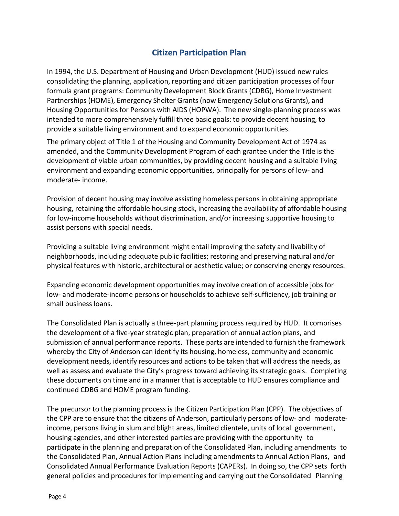# <span id="page-3-0"></span>**Citizen Participation Plan**

In 1994, the U.S. Department of Housing and Urban Development (HUD) issued new rules consolidating the planning, application, reporting and citizen participation processes of four formula grant programs: Community Development Block Grants (CDBG), Home Investment Partnerships (HOME), Emergency Shelter Grants (now Emergency Solutions Grants), and Housing Opportunities for Persons with AIDS (HOPWA). The new single-planning process was intended to more comprehensively fulfill three basic goals: to provide decent housing, to provide a suitable living environment and to expand economic opportunities.

The primary object of Title 1 of the Housing and Community Development Act of 1974 as amended, and the Community Development Program of each grantee under the Title is the development of viable urban communities, by providing decent housing and a suitable living environment and expanding economic opportunities, principally for persons of low- and moderate- income.

Provision of decent housing may involve assisting homeless persons in obtaining appropriate housing, retaining the affordable housing stock, increasing the availability of affordable housing for low-income households without discrimination, and/or increasing supportive housing to assist persons with special needs.

Providing a suitable living environment might entail improving the safety and livability of neighborhoods, including adequate public facilities; restoring and preserving natural and/or physical features with historic, architectural or aesthetic value; or conserving energy resources.

Expanding economic development opportunities may involve creation of accessible jobs for low- and moderate-income persons or households to achieve self-sufficiency, job training or small business loans.

The Consolidated Plan is actually a three-part planning process required by HUD. It comprises the development of a five-year strategic plan, preparation of annual action plans, and submission of annual performance reports. These parts are intended to furnish the framework whereby the City of Anderson can identify its housing, homeless, community and economic development needs, identify resources and actions to be taken that will address the needs, as well as assess and evaluate the City's progress toward achieving its strategic goals. Completing these documents on time and in a manner that is acceptable to HUD ensures compliance and continued CDBG and HOME program funding.

The precursor to the planning process is the Citizen Participation Plan (CPP). The objectives of the CPP are to ensure that the citizens of Anderson, particularly persons of low- and moderateincome, persons living in slum and blight areas, limited clientele, units of local government, housing agencies, and other interested parties are providing with the opportunity to participate in the planning and preparation of the Consolidated Plan, including amendments to the Consolidated Plan, Annual Action Plans including amendments to Annual Action Plans, and Consolidated Annual Performance Evaluation Reports (CAPERs). In doing so, the CPP sets forth general policies and procedures for implementing and carrying out the Consolidated Planning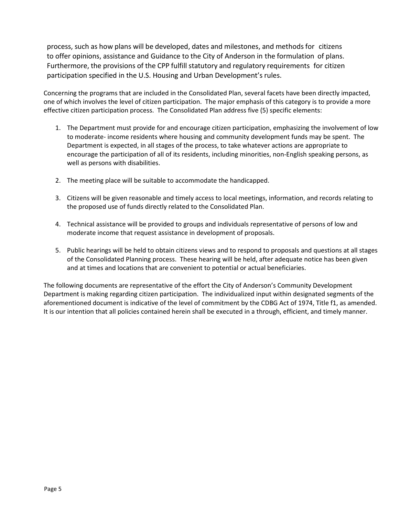process, such as how plans will be developed, dates and milestones, and methods for citizens to offer opinions, assistance and Guidance to the City of Anderson in the formulation of plans. Furthermore, the provisions of the CPP fulfill statutory and regulatory requirements for citizen participation specified in the U.S. Housing and Urban Development's rules.

Concerning the programs that are included in the Consolidated Plan, several facets have been directly impacted, one of which involves the level of citizen participation. The major emphasis of this category is to provide a more effective citizen participation process. The Consolidated Plan address five (5) specific elements:

- 1. The Department must provide for and encourage citizen participation, emphasizing the involvement of low to moderate- income residents where housing and community development funds may be spent. The Department is expected, in all stages of the process, to take whatever actions are appropriate to encourage the participation of all of its residents, including minorities, non-English speaking persons, as well as persons with disabilities.
- 2. The meeting place will be suitable to accommodate the handicapped.
- 3. Citizens will be given reasonable and timely access to local meetings, information, and records relating to the proposed use of funds directly related to the Consolidated Plan.
- 4. Technical assistance will be provided to groups and individuals representative of persons of low and moderate income that request assistance in development of proposals.
- 5. Public hearings will be held to obtain citizens views and to respond to proposals and questions at all stages of the Consolidated Planning process. These hearing will be held, after adequate notice has been given and at times and locations that are convenient to potential or actual beneficiaries.

The following documents are representative of the effort the City of Anderson's Community Development Department is making regarding citizen participation. The individualized input within designated segments of the aforementioned document is indicative of the level of commitment by the CDBG Act of 1974, Title f1, as amended. It is our intention that all policies contained herein shall be executed in a through, efficient, and timely manner.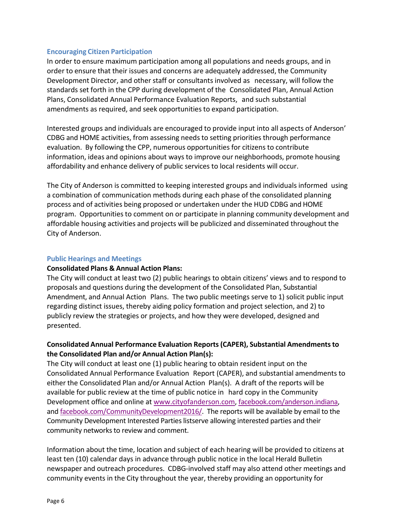### <span id="page-5-0"></span>**Encouraging Citizen Participation**

In order to ensure maximum participation among all populations and needs groups, and in order to ensure that their issues and concerns are adequately addressed, the Community Development Director, and other staff or consultants involved as necessary, will follow the standards set forth in the CPP during development of the Consolidated Plan, Annual Action Plans, Consolidated Annual Performance Evaluation Reports, and such substantial amendments as required, and seek opportunities to expand participation.

Interested groups and individuals are encouraged to provide input into all aspects of Anderson' CDBG and HOME activities, from assessing needs to setting priorities through performance evaluation. By following the CPP, numerous opportunities for citizens to contribute information, ideas and opinions about ways to improve our neighborhoods, promote housing affordability and enhance delivery of public services to local residents will occur.

The City of Anderson is committed to keeping interested groups and individuals informed using a combination of communication methods during each phase of the consolidated planning process and of activities being proposed or undertaken under the HUD CDBG and HOME program. Opportunities to comment on or participate in planning community development and affordable housing activities and projects will be publicized and disseminated throughout the City of Anderson.

#### <span id="page-5-1"></span>**Public Hearings and Meetings**

### **Consolidated Plans & Annual Action Plans:**

The City will conduct at least two (2) public hearings to obtain citizens' views and to respond to proposals and questions during the development of the Consolidated Plan, Substantial Amendment, and Annual Action Plans. The two public meetings serve to 1) solicit public input regarding distinct issues, thereby aiding policy formation and project selection, and 2) to publicly review the strategies or projects, and how they were developed, designed and presented.

# **Consolidated Annual Performance Evaluation Reports (CAPER), Substantial Amendmentsto the Consolidated Plan and/or Annual Action Plan(s):**

The City will conduct at least one (1) public hearing to obtain resident input on the Consolidated Annual Performance Evaluation Report (CAPER), and substantial amendments to either the Consolidated Plan and/or Annual Action Plan(s). A draft of the reports will be available for public review at the time of public notice in hard copy in the Community Development office and online at [www.cityofanderson.com,](http://www.cityofanderson.com/) [facebook.com/anderson.indiana,](http://www.facebook.com/anderson.indiana) and [facebook.com/CommunityDevelopment2016/.](http://www.facebook.com/CommunityDevelopment2016/) The reports will be available by email to the Community Development Interested Parties listserve allowing interested parties and their community networks to review and comment.

Information about the time, location and subject of each hearing will be provided to citizens at least ten (10) calendar days in advance through public notice in the local Herald Bulletin newspaper and outreach procedures. CDBG-involved staff may also attend other meetings and community events in the City throughout the year, thereby providing an opportunity for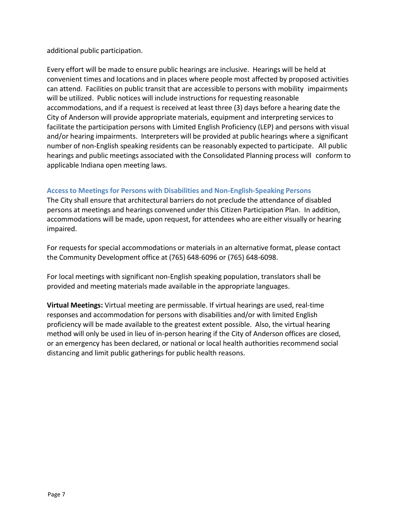additional public participation.

Every effort will be made to ensure public hearings are inclusive. Hearings will be held at convenient times and locations and in places where people most affected by proposed activities can attend. Facilities on public transit that are accessible to persons with mobility impairments will be utilized. Public notices will include instructions for requesting reasonable accommodations, and if a request is received at least three (3) days before a hearing date the City of Anderson will provide appropriate materials, equipment and interpreting services to facilitate the participation persons with Limited English Proficiency (LEP) and persons with visual and/or hearing impairments. Interpreters will be provided at public hearings where a significant number of non-English speaking residents can be reasonably expected to participate. All public hearings and public meetings associated with the Consolidated Planning process will conform to applicable Indiana open meeting laws.

# **Access to Meetings for Persons with Disabilities and Non-English-Speaking Persons**

The City shall ensure that architectural barriers do not preclude the attendance of disabled persons at meetings and hearings convened under this Citizen Participation Plan. In addition, accommodations will be made, upon request, for attendees who are either visually or hearing impaired.

For requests for special accommodations or materials in an alternative format, please contact the Community Development office at (765) 648-6096 or (765) 648-6098.

For local meetings with significant non-English speaking population, translators shall be provided and meeting materials made available in the appropriate languages.

**Virtual Meetings:** Virtual meeting are permissable. If virtual hearings are used, real-time responses and accommodation for persons with disabilities and/or with limited English proficiency will be made available to the greatest extent possible. Also, the virtual hearing method will only be used in lieu of in-person hearing if the City of Anderson offices are closed, or an emergency has been declared, or national or local health authorities recommend social distancing and limit public gatherings for public health reasons.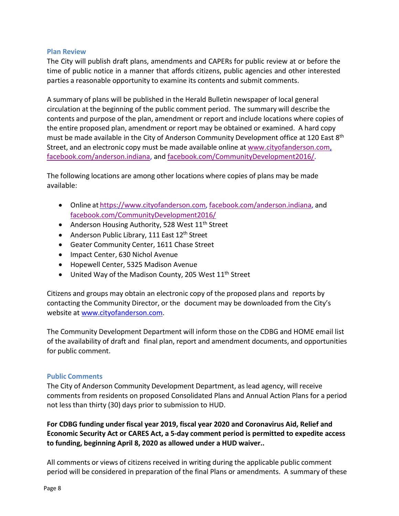### <span id="page-7-0"></span>**Plan Review**

The City will publish draft plans, amendments and CAPERs for public review at or before the time of public notice in a manner that affords citizens, public agencies and other interested parties a reasonable opportunity to examine its contents and submit comments.

A summary of plans will be published in the Herald Bulletin newspaper of local general circulation at the beginning of the public comment period. The summary will describe the contents and purpose of the plan, amendment or report and include locations where copies of the entire proposed plan, amendment or report may be obtained or examined. A hard copy must be made available in the City of Anderson Community Development office at 120 East 8<sup>th</sup> Street, and an electronic copy must be made available online at [www.cityofanderson.com,](http://www.cityofanderson.com/) [facebook.com/anderson.indiana,](http://facebook.com/anderson.indiana) and [facebook.com/CommunityDevelopment2016/.](http://www.facebook.com/CommunityDevelopment2016/)

The following locations are among other locations where copies of plans may be made available:

- Online at [https://www.cityofanderson.com,](https://www.cityofanderson.com/) [facebook.com/anderson.indiana,](http://facebook.com/anderson.indiana) and [facebook.com/CommunityDevelopment2016/](http://www.facebook.com/CommunityDevelopment2016/)
- Anderson Housing Authority, 528 West 11<sup>th</sup> Street
- Anderson Public Library, 111 East  $12<sup>th</sup>$  Street
- Geater Community Center, 1611 Chase Street
- Impact Center, 630 Nichol Avenue
- Hopewell Center, 5325 Madison Avenue
- United Way of the Madison County, 205 West  $11<sup>th</sup>$  Street

Citizens and groups may obtain an electronic copy of the proposed plans and reports by contacting the Community Director, or the document may be downloaded from the City's website at [www.cityofanderson.com.](http://www.cityofanderson.com/)

The Community Development Department will inform those on the CDBG and HOME email list of the availability of draft and final plan, report and amendment documents, and opportunities for public comment.

### <span id="page-7-1"></span>**Public Comments**

The City of Anderson Community Development Department, as lead agency, will receive comments from residents on proposed Consolidated Plans and Annual Action Plans for a period not less than thirty (30) days prior to submission to HUD.

**For CDBG funding under fiscal year 2019, fiscal year 2020 and Coronavirus Aid, Relief and Economic Security Act or CARES Act, a 5-day comment period is permitted to expedite access to funding, beginning April 8, 2020 as allowed under a HUD waiver..**

All comments or views of citizens received in writing during the applicable public comment period will be considered in preparation of the final Plans or amendments. A summary of these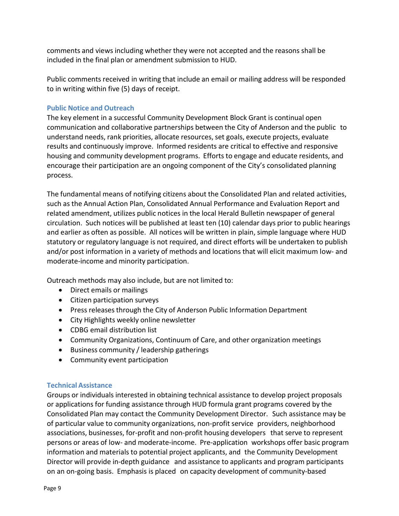comments and views including whether they were not accepted and the reasons shall be included in the final plan or amendment submission to HUD.

Public comments received in writing that include an email or mailing address will be responded to in writing within five (5) days of receipt.

# <span id="page-8-0"></span>**Public Notice and Outreach**

The key element in a successful Community Development Block Grant is continual open communication and collaborative partnerships between the City of Anderson and the public to understand needs, rank priorities, allocate resources,set goals, execute projects, evaluate results and continuously improve. Informed residents are critical to effective and responsive housing and community development programs. Efforts to engage and educate residents, and encourage their participation are an ongoing component of the City's consolidated planning process.

The fundamental means of notifying citizens about the Consolidated Plan and related activities, such as the Annual Action Plan, Consolidated Annual Performance and Evaluation Report and related amendment, utilizes public notices in the local Herald Bulletin newspaper of general circulation. Such notices will be published at least ten (10) calendar days prior to public hearings and earlier as often as possible. All notices will be written in plain, simple language where HUD statutory or regulatory language is not required, and direct efforts will be undertaken to publish and/or post information in a variety of methods and locations that will elicit maximum low- and moderate-income and minority participation.

Outreach methods may also include, but are not limited to:

- Direct emails or mailings
- Citizen participation surveys
- Press releases through the City of Anderson Public Information Department
- City Highlights weekly online newsletter
- CDBG email distribution list
- Community Organizations, Continuum of Care, and other organization meetings
- Business community / leadership gatherings
- Community event participation

### <span id="page-8-1"></span>**Technical Assistance**

Groups or individuals interested in obtaining technical assistance to develop project proposals or applications for funding assistance through HUD formula grant programs covered by the Consolidated Plan may contact the Community Development Director. Such assistance may be of particular value to community organizations, non-profit service providers, neighborhood associations, businesses, for-profit and non-profit housing developers that serve to represent persons or areas of low- and moderate-income. Pre-application workshops offer basic program information and materials to potential project applicants, and the Community Development Director will provide in-depth guidance and assistance to applicants and program participants on an on-going basis. Emphasis is placed on capacity development of community-based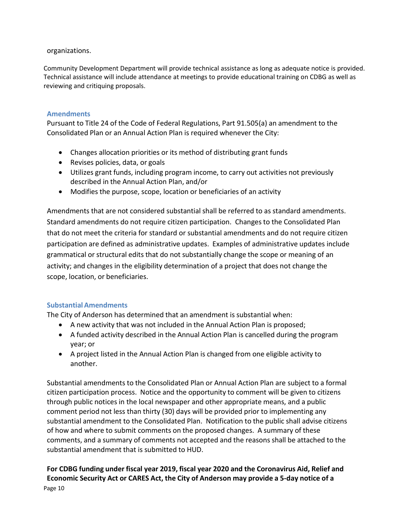### organizations.

Community Development Department will provide technical assistance as long as adequate notice is provided. Technical assistance will include attendance at meetings to provide educational training on CDBG as well as reviewing and critiquing proposals.

# <span id="page-9-0"></span>**Amendments**

Pursuant to Title 24 of the Code of Federal Regulations, Part 91.505(a) an amendment to the Consolidated Plan or an Annual Action Plan is required whenever the City:

- Changes allocation priorities or its method of distributing grant funds
- Revises policies, data, or goals
- Utilizes grant funds, including program income, to carry out activities not previously described in the Annual Action Plan, and/or
- Modifies the purpose, scope, location or beneficiaries of an activity

Amendments that are not considered substantial shall be referred to as standard amendments. Standard amendments do not require citizen participation. Changes to the Consolidated Plan that do not meet the criteria for standard or substantial amendments and do not require citizen participation are defined as administrative updates. Examples of administrative updates include grammatical or structural edits that do not substantially change the scope or meaning of an activity; and changes in the eligibility determination of a project that does not change the scope, location, or beneficiaries.

# <span id="page-9-1"></span>**SubstantialAmendments**

The City of Anderson has determined that an amendment is substantial when:

- A new activity that was not included in the Annual Action Plan is proposed;
- A funded activity described in the Annual Action Plan is cancelled during the program year; or
- A project listed in the Annual Action Plan is changed from one eligible activity to another.

Substantial amendments to the Consolidated Plan or Annual Action Plan are subject to a formal citizen participation process. Notice and the opportunity to comment will be given to citizens through public notices in the local newspaper and other appropriate means, and a public comment period not less than thirty (30) days will be provided prior to implementing any substantial amendment to the Consolidated Plan. Notification to the public shall advise citizens of how and where to submit comments on the proposed changes. A summary of these comments, and a summary of comments not accepted and the reasons shall be attached to the substantial amendment that is submitted to HUD.

# **For CDBG funding under fiscal year 2019, fiscal year 2020 and the Coronavirus Aid, Relief and Economic Security Act or CARES Act, the City of Anderson may provide a 5-day notice of a**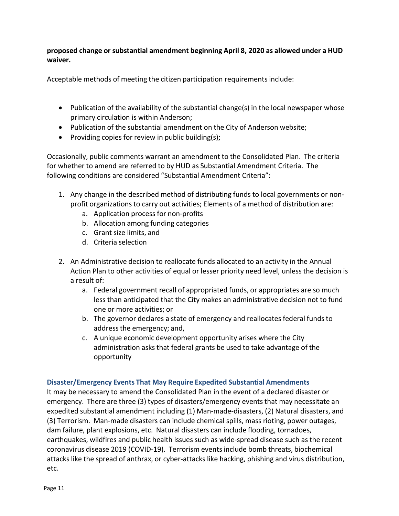**proposed change or substantial amendment beginning April 8, 2020 as allowed under a HUD waiver.**

Acceptable methods of meeting the citizen participation requirements include:

- Publication of the availability of the substantial change(s) in the local newspaper whose primary circulation is within Anderson;
- Publication of the substantial amendment on the City of Anderson website;
- Providing copies for review in public building(s);

Occasionally, public comments warrant an amendment to the Consolidated Plan. The criteria for whether to amend are referred to by HUD as Substantial Amendment Criteria. The following conditions are considered "Substantial Amendment Criteria":

- 1. Any change in the described method of distributing funds to local governments or nonprofit organizations to carry out activities; Elements of a method of distribution are:
	- a. Application process for non-profits
	- b. Allocation among funding categories
	- c. Grant size limits, and
	- d. Criteria selection
- 2. An Administrative decision to reallocate funds allocated to an activity in the Annual Action Plan to other activities of equal or lesser priority need level, unless the decision is a result of:
	- a. Federal government recall of appropriated funds, or appropriates are so much less than anticipated that the City makes an administrative decision not to fund one or more activities; or
	- b. The governor declares a state of emergency and reallocates federal funds to addressthe emergency; and,
	- c. A unique economic development opportunity arises where the City administration asks that federal grants be used to take advantage of the opportunity

### <span id="page-10-0"></span>**Disaster/Emergency Events That May Require Expedited Substantial Amendments**

It may be necessary to amend the Consolidated Plan in the event of a declared disaster or emergency. There are three (3) types of disasters/emergency eventsthat may necessitate an expedited substantial amendment including (1) Man-made-disasters, (2) Natural disasters, and (3) Terrorism. Man-made disasters can include chemical spills, mass rioting, power outages, dam failure, plant explosions, etc. Natural disasters can include flooding, tornadoes, earthquakes, wildfires and public health issues such as wide-spread disease such as the recent coronavirus disease 2019 (COVID-19). Terrorism events include bomb threats, biochemical attacks like the spread of anthrax, or cyber-attacks like hacking, phishing and virus distribution, etc.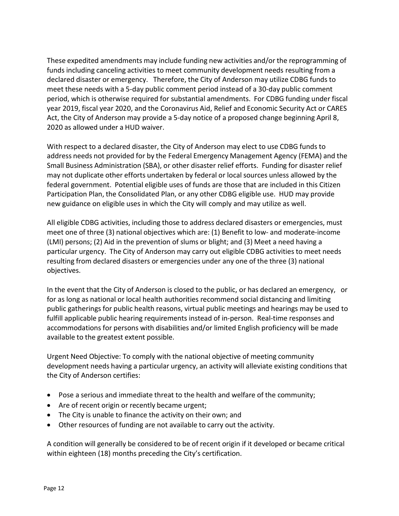These expedited amendments may include funding new activities and/or the reprogramming of funds including canceling activities to meet community development needs resulting from a declared disaster or emergency. Therefore, the City of Anderson may utilize CDBG funds to meet these needs with a 5-day public comment period instead of a 30-day public comment period, which is otherwise required for substantial amendments. For CDBG funding under fiscal year 2019, fiscal year 2020, and the Coronavirus Aid, Relief and Economic Security Act or CARES Act, the City of Anderson may provide a 5-day notice of a proposed change beginning April 8, 2020 as allowed under a HUD waiver.

With respect to a declared disaster, the City of Anderson may elect to use CDBG funds to address needs not provided for by the Federal Emergency Management Agency (FEMA) and the Small Business Administration (SBA), or other disaster relief efforts. Funding for disaster relief may not duplicate other efforts undertaken by federal or local sources unless allowed by the federal government. Potential eligible uses of funds are those that are included in this Citizen Participation Plan, the Consolidated Plan, or any other CDBG eligible use. HUD may provide new guidance on eligible uses in which the City will comply and may utilize as well.

All eligible CDBG activities, including those to address declared disasters or emergencies, must meet one of three (3) national objectives which are: (1) Benefit to low- and moderate-income (LMI) persons; (2) Aid in the prevention of slums or blight; and (3) Meet a need having a particular urgency. The City of Anderson may carry out eligible CDBG activities to meet needs resulting from declared disasters or emergencies under any one of the three (3) national objectives.

In the event that the City of Anderson is closed to the public, or has declared an emergency, or for as long as national or local health authorities recommend social distancing and limiting public gatherings for public health reasons, virtual public meetings and hearings may be used to fulfill applicable public hearing requirements instead of in-person. Real-time responses and accommodations for persons with disabilities and/or limited English proficiency will be made available to the greatest extent possible.

Urgent Need Objective: To comply with the national objective of meeting community development needs having a particular urgency, an activity will alleviate existing conditions that the City of Anderson certifies:

- Pose a serious and immediate threat to the health and welfare of the community;
- Are of recent origin or recently became urgent;
- The City is unable to finance the activity on their own; and
- Other resources of funding are not available to carry out the activity.

A condition will generally be considered to be of recent origin if it developed or became critical within eighteen (18) months preceding the City's certification.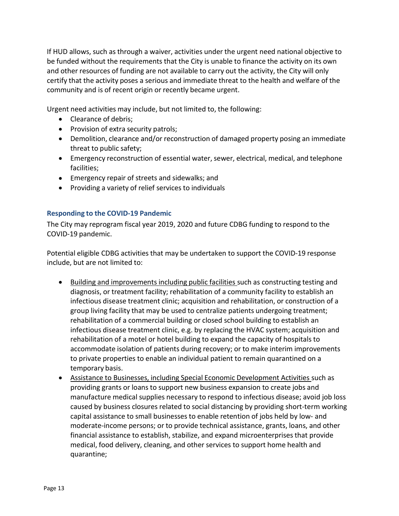If HUD allows, such as through a waiver, activities under the urgent need national objective to be funded without the requirements that the City is unable to finance the activity on its own and other resources of funding are not available to carry out the activity, the City will only certify that the activity poses a serious and immediate threat to the health and welfare of the community and is of recent origin or recently became urgent.

Urgent need activities may include, but not limited to, the following:

- Clearance of debris;
- Provision of extra security patrols;
- Demolition, clearance and/or reconstruction of damaged property posing an immediate threat to public safety;
- Emergency reconstruction of essential water, sewer, electrical, medical, and telephone facilities;
- Emergency repair of streets and sidewalks; and
- Providing a variety of relief services to individuals

# <span id="page-12-0"></span>**Responding to the COVID-19 Pandemic**

The City may reprogram fiscal year 2019, 2020 and future CDBG funding to respond to the COVID-19 pandemic.

Potential eligible CDBG activities that may be undertaken to support the COVID-19 response include, but are not limited to:

- Building and improvements including public facilities such as constructing testing and diagnosis, or treatment facility; rehabilitation of a community facility to establish an infectious disease treatment clinic; acquisition and rehabilitation, or construction of a group living facility that may be used to centralize patients undergoing treatment; rehabilitation of a commercial building or closed school building to establish an infectious disease treatment clinic, e.g. by replacing the HVAC system; acquisition and rehabilitation of a motel or hotel building to expand the capacity of hospitals to accommodate isolation of patients during recovery; or to make interim improvements to private properties to enable an individual patient to remain quarantined on a temporary basis.
- Assistance to Businesses, including Special Economic Development Activities such as providing grants or loans to support new business expansion to create jobs and manufacture medical supplies necessary to respond to infectious disease; avoid job loss caused by business closures related to social distancing by providing short-term working capital assistance to small businesses to enable retention of jobs held by low- and moderate-income persons; or to provide technical assistance, grants, loans, and other financial assistance to establish, stabilize, and expand microenterprisesthat provide medical, food delivery, cleaning, and other services to support home health and quarantine;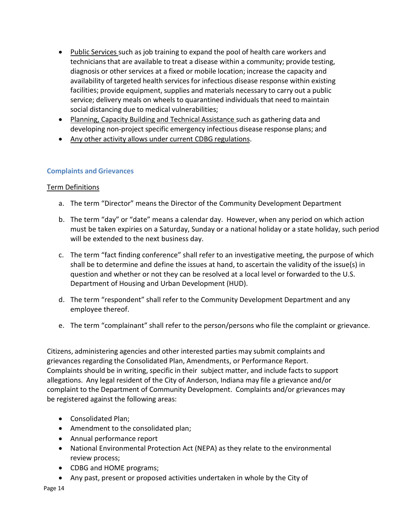- Public Services such as job training to expand the pool of health care workers and techniciansthat are available to treat a disease within a community; provide testing, diagnosis or other services at a fixed or mobile location; increase the capacity and availability of targeted health services for infectious disease response within existing facilities; provide equipment, supplies and materials necessary to carry out a public service; delivery meals on wheels to quarantined individuals that need to maintain social distancing due to medical vulnerabilities;
- Planning, Capacity Building and Technical Assistance such as gathering data and developing non-project specific emergency infectious disease response plans; and
- Any other activity allows under current CDBG regulations.

# <span id="page-13-0"></span>**Complaints and Grievances**

# Term Definitions

- a. The term "Director" means the Director of the Community Development Department
- b. The term "day" or "date" means a calendar day. However, when any period on which action must be taken expiries on a Saturday, Sunday or a national holiday or a state holiday, such period will be extended to the next business day.
- c. The term "fact finding conference" shall refer to an investigative meeting, the purpose of which shall be to determine and define the issues at hand, to ascertain the validity of the issue(s) in question and whether or not they can be resolved at a local level or forwarded to the U.S. Department of Housing and Urban Development (HUD).
- d. The term "respondent" shall refer to the Community Development Department and any employee thereof.
- e. The term "complainant" shall refer to the person/persons who file the complaint or grievance.

Citizens, administering agencies and other interested parties may submit complaints and grievances regarding the Consolidated Plan, Amendments, or Performance Report. Complaints should be in writing, specific in their subject matter, and include facts to support allegations. Any legal resident of the City of Anderson, Indiana may file a grievance and/or complaint to the Department of Community Development. Complaints and/or grievances may be registered against the following areas:

- Consolidated Plan;
- Amendment to the consolidated plan;
- Annual performance report
- National Environmental Protection Act (NEPA) as they relate to the environmental review process;
- CDBG and HOME programs;
- Any past, present or proposed activities undertaken in whole by the City of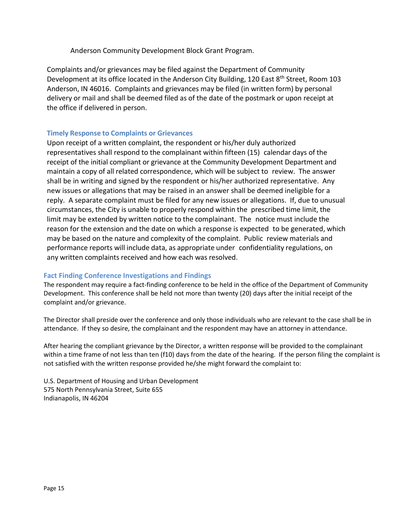Anderson Community Development Block Grant Program.

Complaints and/or grievances may be filed against the Department of Community Development at its office located in the Anderson City Building, 120 East 8<sup>th</sup> Street, Room 103 Anderson, IN 46016. Complaints and grievances may be filed (in written form) by personal delivery or mail and shall be deemed filed as of the date of the postmark or upon receipt at the office if delivered in person.

### <span id="page-14-0"></span>**Timely Response to Complaints or Grievances**

Upon receipt of a written complaint, the respondent or his/her duly authorized representatives shall respond to the complainant within fifteen (15) calendar days of the receipt of the initial compliant or grievance at the Community Development Department and maintain a copy of all related correspondence, which will be subject to review. The answer shall be in writing and signed by the respondent or his/her authorized representative. Any new issues or allegations that may be raised in an answer shall be deemed ineligible for a reply. A separate complaint must be filed for any new issues or allegations. If, due to unusual circumstances, the City is unable to properly respond within the prescribed time limit, the limit may be extended by written notice to the complainant. The notice must include the reason for the extension and the date on which a response is expected to be generated, which may be based on the nature and complexity of the complaint. Public review materials and performance reports will include data, as appropriate under confidentiality regulations, on any written complaints received and how each was resolved.

### **Fact Finding Conference Investigations and Findings**

The respondent may require a fact-finding conference to be held in the office of the Department of Community Development. This conference shall be held not more than twenty (20) days after the initial receipt of the complaint and/or grievance.

The Director shall preside over the conference and only those individuals who are relevant to the case shall be in attendance. If they so desire, the complainant and the respondent may have an attorney in attendance.

After hearing the compliant grievance by the Director, a written response will be provided to the complainant within a time frame of not less than ten (f10) days from the date of the hearing. If the person filing the complaint is not satisfied with the written response provided he/she might forward the complaint to:

U.S. Department of Housing and Urban Development 575 North Pennsylvania Street, Suite 655 Indianapolis, IN 46204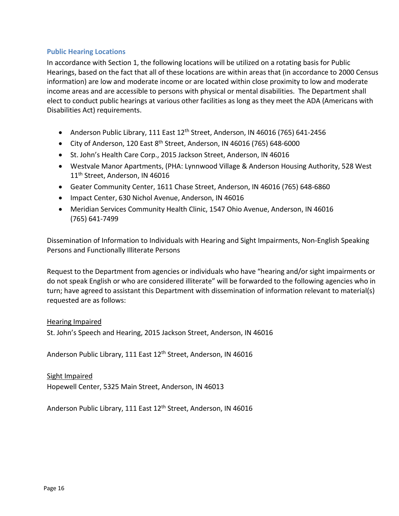### <span id="page-15-0"></span>**Public Hearing Locations**

In accordance with Section 1, the following locations will be utilized on a rotating basis for Public Hearings, based on the fact that all of these locations are within areas that (in accordance to 2000 Census information) are low and moderate income or are located within close proximity to low and moderate income areas and are accessible to persons with physical or mental disabilities. The Department shall elect to conduct public hearings at various other facilities as long as they meet the ADA (Americans with Disabilities Act) requirements.

- Anderson Public Library, 111 East  $12<sup>th</sup>$  Street, Anderson, IN 46016 (765) 641-2456
- City of Anderson, 120 East  $8<sup>th</sup>$  Street, Anderson, IN 46016 (765) 648-6000
- St. John's Health Care Corp., 2015 Jackson Street, Anderson, IN 46016
- Westvale Manor Apartments, (PHA: Lynnwood Village & Anderson Housing Authority, 528 West 11<sup>th</sup> Street, Anderson, IN 46016
- Geater Community Center, 1611 Chase Street, Anderson, IN 46016 (765) 648-6860
- Impact Center, 630 Nichol Avenue, Anderson, IN 46016
- Meridian Services Community Health Clinic, 1547 Ohio Avenue, Anderson, IN 46016 (765) 641-7499

Dissemination of Information to Individuals with Hearing and Sight Impairments, Non-English Speaking Persons and Functionally Illiterate Persons

Request to the Department from agencies or individuals who have "hearing and/or sight impairments or do not speak English or who are considered illiterate" will be forwarded to the following agencies who in turn; have agreed to assistant this Department with dissemination of information relevant to material(s) requested are as follows:

#### Hearing Impaired

St. John's Speech and Hearing, 2015 Jackson Street, Anderson, IN 46016

Anderson Public Library, 111 East 12<sup>th</sup> Street, Anderson, IN 46016

#### Sight Impaired

Hopewell Center, 5325 Main Street, Anderson, IN 46013

Anderson Public Library, 111 East 12<sup>th</sup> Street, Anderson, IN 46016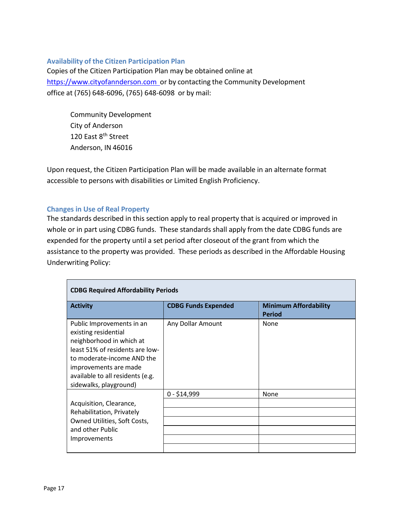# **Availability of the Citizen Participation Plan**

Copies of the Citizen Participation Plan may be obtained online at https://www.cityofannderson.com or by contacting the Community Development office at (765) 648-6096, (765) 648-6098 or by mail:

Community Development City of Anderson 120 East 8<sup>th</sup> Street Anderson, IN 46016

Upon request, the Citizen Participation Plan will be made available in an alternate format accessible to persons with disabilities or Limited English Proficiency.

### <span id="page-16-0"></span>**Changes in Use of Real Property**

The standards described in this section apply to real property that is acquired or improved in whole or in part using CDBG funds. These standards shall apply from the date CDBG funds are expended for the property until a set period after closeout of the grant from which the assistance to the property was provided. These periods as described in the Affordable Housing Underwriting Policy:

| <b>CDBG Required Affordability Periods</b>                                                                                                                                                                                            |                            |                                               |
|---------------------------------------------------------------------------------------------------------------------------------------------------------------------------------------------------------------------------------------|----------------------------|-----------------------------------------------|
| <b>Activity</b>                                                                                                                                                                                                                       | <b>CDBG Funds Expended</b> | <b>Minimum Affordability</b><br><b>Period</b> |
| Public Improvements in an<br>existing residential<br>neighborhood in which at<br>least 51% of residents are low-<br>to moderate-income AND the<br>improvements are made<br>available to all residents (e.g.<br>sidewalks, playground) | Any Dollar Amount          | None                                          |
|                                                                                                                                                                                                                                       | $0 - $14,999$              | None                                          |
| Acquisition, Clearance,                                                                                                                                                                                                               |                            |                                               |
| Rehabilitation, Privately                                                                                                                                                                                                             |                            |                                               |
| Owned Utilities, Soft Costs,                                                                                                                                                                                                          |                            |                                               |
| and other Public                                                                                                                                                                                                                      |                            |                                               |
| Improvements                                                                                                                                                                                                                          |                            |                                               |
|                                                                                                                                                                                                                                       |                            |                                               |